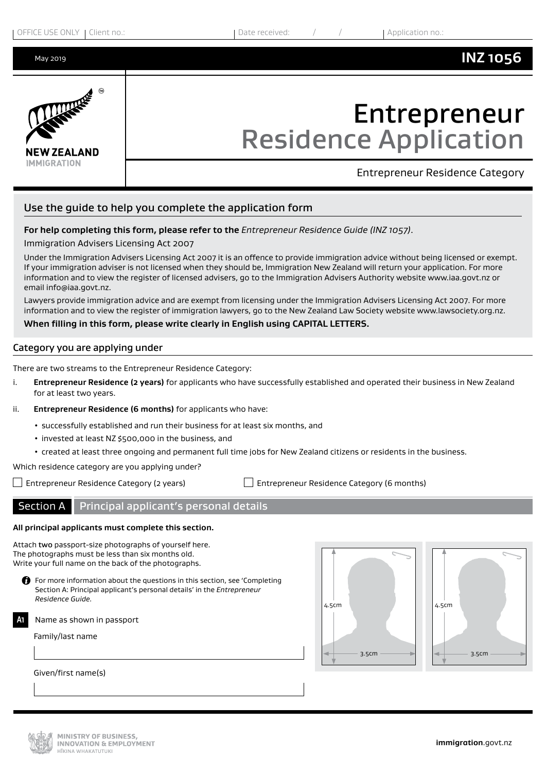May 2019

# **NEW ZEALAND**

# Entrepreneur Residence Application

**IMMIGRATION** 

Entrepreneur Residence Category

**INZ 1056**

# Use the guide to help you complete the application form

# **For help completing this form, please refer to the** *Entrepreneur Residence Guide (INZ 1057)*.

Immigration Advisers Licensing Act 2007

Under the Immigration Advisers Licensing Act 2007 it is an offence to provide immigration advice without being licensed or exempt. If your immigration adviser is not licensed when they should be, Immigration New Zealand will return your application. For more information and to view the register of licensed advisers, go to the Immigration Advisers Authority website www.iaa.govt.nz or email info@iaa.govt.nz.

Lawyers provide immigration advice and are exempt from licensing under the Immigration Advisers Licensing Act 2007. For more information and to view the register of immigration lawyers, go to the New Zealand Law Society website www.lawsociety.org.nz.

### **When filling in this form, please write clearly in English using CAPITAL LETTERS.**

# Category you are applying under

There are two streams to the Entrepreneur Residence Category:

- i. **Entrepreneur Residence (2 years)** for applicants who have successfully established and operated their business in New Zealand for at least two years.
- ii. **Entrepreneur Residence (6 months)** for applicants who have:
	- successfully established and run their business for at least six months, and
	- invested at least NZ \$500,000 in the business, and
	- created at least three ongoing and permanent full time jobs for New Zealand citizens or residents in the business.

Which residence category are you applying under?

Entrepreneur Residence Category (2 years) Entrepreneur Residence Category (6 months)

Section A Principal applicant's personal details

# **All principal applicants must complete this section.**

Attach two passport-size photographs of yourself here. The photographs must be less than six months old. Write your full name on the back of the photographs.

 $\bigoplus$  For more information about the questions in this section, see 'Completing Section A: Principal applicant's personal details' in the *Entrepreneur Residence Guide.*

Name as shown in passport **A1**

Family/last name

Given/first name(s)





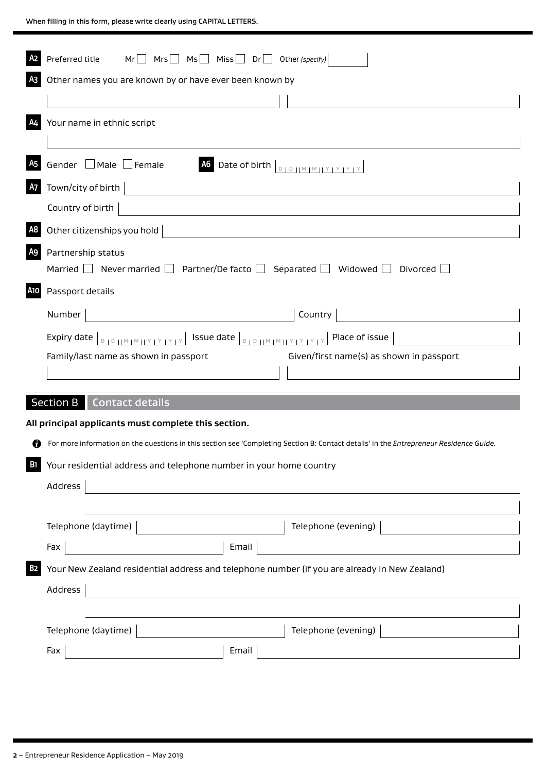|                | $Mr \t Mrs \t Ms \t Mis \t Miss \t Dr$ Other (specify)<br>Preferred title                                                                                                                                |
|----------------|----------------------------------------------------------------------------------------------------------------------------------------------------------------------------------------------------------|
| A <sub>3</sub> | Other names you are known by or have ever been known by                                                                                                                                                  |
|                |                                                                                                                                                                                                          |
| A4             | Your name in ethnic script                                                                                                                                                                               |
| <b>A5</b>      | Gender □ Male □ Female<br>A6 Date of birth $\left\lfloor \frac{D}{D} \right\rfloor \left\lfloor \frac{M}{M} \right\rfloor \left\lfloor \frac{Y}{Y} \right\rfloor \left\lfloor \frac{Y}{Y} \right\rfloor$ |
| <b>A7</b>      | Town/city of birth                                                                                                                                                                                       |
|                | Country of birth                                                                                                                                                                                         |
| A <sub>8</sub> | Other citizenships you hold                                                                                                                                                                              |
| <b>A9</b>      | Partnership status<br>Married $\Box$ Never married $\Box$ Partner/De facto $\Box$ Separated $\Box$ Widowed $\Box$ Divorced                                                                               |
| <b>A10</b>     | Passport details                                                                                                                                                                                         |
|                | Number<br>Country                                                                                                                                                                                        |
|                | Expiry date $ _{D_1D_1 M_1M_1 Y_1Y_1Y_1Y_1}$ Issue date $ _{D_1D_1 M_1M_1 Y_1Y_1Y_1Y_1}$ Place of issue $ $                                                                                              |
|                | Given/first name(s) as shown in passport<br>Family/last name as shown in passport                                                                                                                        |
|                |                                                                                                                                                                                                          |
|                | <b>Section B</b><br>Contact details                                                                                                                                                                      |
|                | All principal applicants must complete this section.                                                                                                                                                     |
| Ø              | For more information on the questions in this section see 'Completing Section B: Contact details' in the Entrepreneur Residence Guide.                                                                   |
| <b>B1</b>      | Your residential address and telephone number in your home country                                                                                                                                       |
|                | Address                                                                                                                                                                                                  |
|                |                                                                                                                                                                                                          |
|                | Telephone (evening)<br>Telephone (daytime)                                                                                                                                                               |
|                | Email<br>Fax                                                                                                                                                                                             |
| <b>B2</b>      | Your New Zealand residential address and telephone number (if you are already in New Zealand)                                                                                                            |
|                | Address                                                                                                                                                                                                  |
|                |                                                                                                                                                                                                          |
|                | Telephone (daytime)<br>Telephone (evening)                                                                                                                                                               |
|                | Fax<br>Email                                                                                                                                                                                             |
|                |                                                                                                                                                                                                          |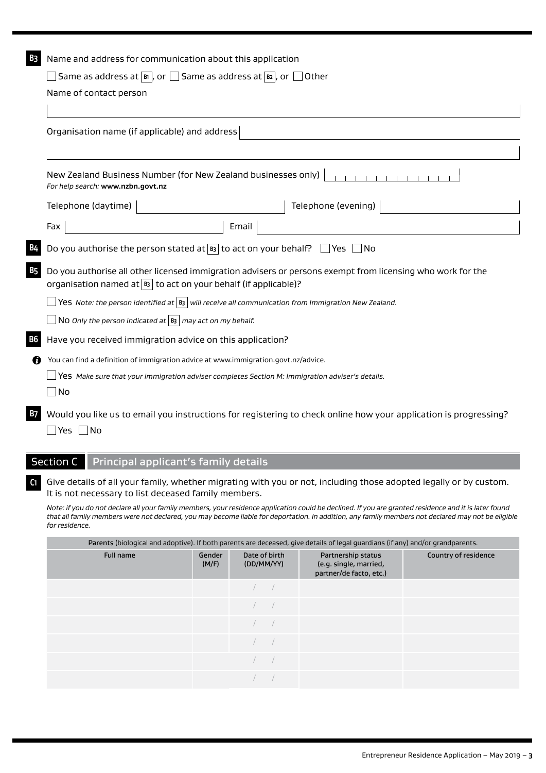| B3 | Name and address for communication about this application                                                                                                                          |  |  |  |  |  |  |
|----|------------------------------------------------------------------------------------------------------------------------------------------------------------------------------------|--|--|--|--|--|--|
|    | $\Box$ Same as address at $\lbrack$ and $\rbrack$ or $\Box$ Same as address at $\lbrack$ $\mathbf{B}$ and $\rbrack$ or $\Box$ Other                                                |  |  |  |  |  |  |
|    | Name of contact person                                                                                                                                                             |  |  |  |  |  |  |
|    |                                                                                                                                                                                    |  |  |  |  |  |  |
|    | Organisation name (if applicable) and address                                                                                                                                      |  |  |  |  |  |  |
|    | New Zealand Business Number (for New Zealand businesses only)<br>For help search: www.nzbn.govt.nz                                                                                 |  |  |  |  |  |  |
|    | Telephone (daytime)<br>Telephone (evening)                                                                                                                                         |  |  |  |  |  |  |
|    | Email<br>Fax                                                                                                                                                                       |  |  |  |  |  |  |
|    | Do you authorise the person stated at $\boxed{B}$ to act on your behalf? $\Box$ Yes $\Box$ No                                                                                      |  |  |  |  |  |  |
| B5 | Do you authorise all other licensed immigration advisers or persons exempt from licensing who work for the<br>organisation named at $ B_3 $ to act on your behalf (if applicable)? |  |  |  |  |  |  |
|    | $\sqrt{\text{Yes}}$ Note: the person identified at $\ket{\text{B}}$ will receive all communication from Immigration New Zealand.                                                   |  |  |  |  |  |  |
|    | $\Box$ N0 Only the person indicated at $ $ B3 $ $ may act on my behalf.                                                                                                            |  |  |  |  |  |  |
| В6 | Have you received immigration advice on this application?                                                                                                                          |  |  |  |  |  |  |
| n  | You can find a definition of immigration advice at www.immigration.govt.nz/advice.                                                                                                 |  |  |  |  |  |  |
|    | $\Delta$ Yes Make sure that your immigration adviser completes Section M: Immigration adviser's details.<br>$\Box$ No                                                              |  |  |  |  |  |  |
|    | Would you like us to email you instructions for registering to check online how your application is progressing?<br>_ Yes  __ No                                                   |  |  |  |  |  |  |

# Section C Principal applicant's family details

**C1** Give details of all your family, whether migrating with you or not, including those adopted legally or by custom. It is not necessary to list deceased family members.

*Note: if you do not declare all your family members, your residence application could be declined. If you are granted residence and it is later found that all family members were not declared, you may become liable for deportation. In addition, any family members not declared may not be eligible for residence.*

|           | Parents (biological and adoptive). If both parents are deceased, give details of legal guardians (if any) and/or grandparents. |                             |                                                                         |                      |  |  |  |  |
|-----------|--------------------------------------------------------------------------------------------------------------------------------|-----------------------------|-------------------------------------------------------------------------|----------------------|--|--|--|--|
| Full name | Gender<br>(M/F)                                                                                                                | Date of birth<br>(DD/MM/YY) | Partnership status<br>(e.g. single, married,<br>partner/de facto, etc.) | Country of residence |  |  |  |  |
|           |                                                                                                                                |                             |                                                                         |                      |  |  |  |  |
|           |                                                                                                                                |                             |                                                                         |                      |  |  |  |  |
|           |                                                                                                                                |                             |                                                                         |                      |  |  |  |  |
|           |                                                                                                                                |                             |                                                                         |                      |  |  |  |  |
|           |                                                                                                                                |                             |                                                                         |                      |  |  |  |  |
|           |                                                                                                                                |                             |                                                                         |                      |  |  |  |  |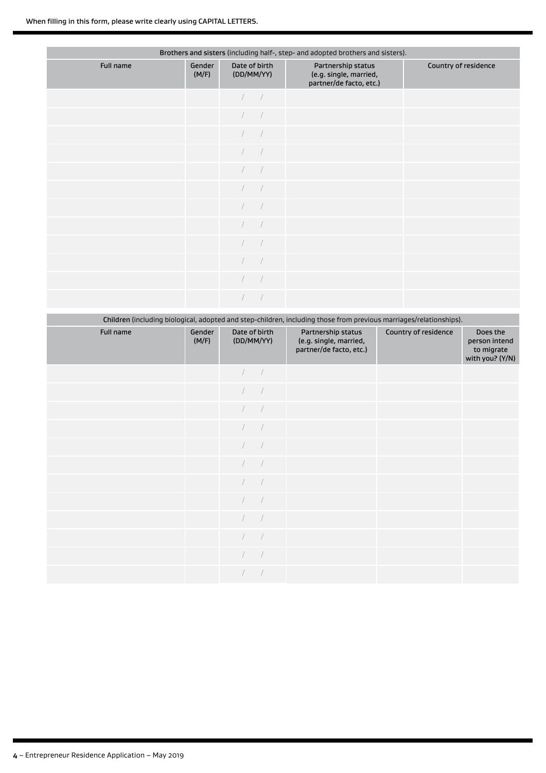| Brothers and sisters (including half-, step- and adopted brothers and sisters). |                 |                             |                                                                         |                      |  |  |  |
|---------------------------------------------------------------------------------|-----------------|-----------------------------|-------------------------------------------------------------------------|----------------------|--|--|--|
| Full name                                                                       | Gender<br>(M/F) | Date of birth<br>(DD/MM/YY) | Partnership status<br>(e.g. single, married,<br>partner/de facto, etc.) | Country of residence |  |  |  |
|                                                                                 |                 |                             |                                                                         |                      |  |  |  |
|                                                                                 |                 | $\sqrt{2}$                  |                                                                         |                      |  |  |  |
|                                                                                 |                 |                             |                                                                         |                      |  |  |  |
|                                                                                 |                 |                             |                                                                         |                      |  |  |  |
|                                                                                 |                 |                             |                                                                         |                      |  |  |  |
|                                                                                 |                 |                             |                                                                         |                      |  |  |  |
|                                                                                 |                 | $\sqrt{2}$                  |                                                                         |                      |  |  |  |
|                                                                                 |                 |                             |                                                                         |                      |  |  |  |
|                                                                                 |                 | $\sqrt{2}$                  |                                                                         |                      |  |  |  |
|                                                                                 |                 |                             |                                                                         |                      |  |  |  |
|                                                                                 |                 |                             |                                                                         |                      |  |  |  |
|                                                                                 |                 |                             |                                                                         |                      |  |  |  |

|           | Children (including biological, adopted and step-children, including those from previous marriages/relationships). |                             |                                           |                      |            |  |  |  |  |  |
|-----------|--------------------------------------------------------------------------------------------------------------------|-----------------------------|-------------------------------------------|----------------------|------------|--|--|--|--|--|
| Full name | Gender<br>(M/F)                                                                                                    | Date of birth<br>(DD/MM/YY) | Partnership status<br>le a single married | Country of residence | Do<br>ners |  |  |  |  |  |

|           | Children (including biological, adopted and step-children, including those from previous marriages/relationships). |                                                |                                                                         |                      |                                                            |  |  |  |  |
|-----------|--------------------------------------------------------------------------------------------------------------------|------------------------------------------------|-------------------------------------------------------------------------|----------------------|------------------------------------------------------------|--|--|--|--|
| Full name | Gender<br>(M/F)                                                                                                    | Date of birth<br>(DD/MM/YY)                    | Partnership status<br>(e.g. single, married,<br>partner/de facto, etc.) | Country of residence | Does the<br>person intend<br>to migrate<br>with you? (Y/N) |  |  |  |  |
|           |                                                                                                                    | $\left  \begin{array}{cc} \end{array} \right $ |                                                                         |                      |                                                            |  |  |  |  |
|           |                                                                                                                    |                                                |                                                                         |                      |                                                            |  |  |  |  |
|           |                                                                                                                    | $\sqrt{2}$                                     |                                                                         |                      |                                                            |  |  |  |  |
|           |                                                                                                                    |                                                |                                                                         |                      |                                                            |  |  |  |  |
|           |                                                                                                                    | $\sqrt{2}$                                     |                                                                         |                      |                                                            |  |  |  |  |
|           |                                                                                                                    |                                                |                                                                         |                      |                                                            |  |  |  |  |
|           |                                                                                                                    |                                                |                                                                         |                      |                                                            |  |  |  |  |
|           |                                                                                                                    |                                                |                                                                         |                      |                                                            |  |  |  |  |
|           |                                                                                                                    |                                                |                                                                         |                      |                                                            |  |  |  |  |
|           |                                                                                                                    |                                                |                                                                         |                      |                                                            |  |  |  |  |
|           |                                                                                                                    |                                                |                                                                         |                      |                                                            |  |  |  |  |
|           |                                                                                                                    |                                                |                                                                         |                      |                                                            |  |  |  |  |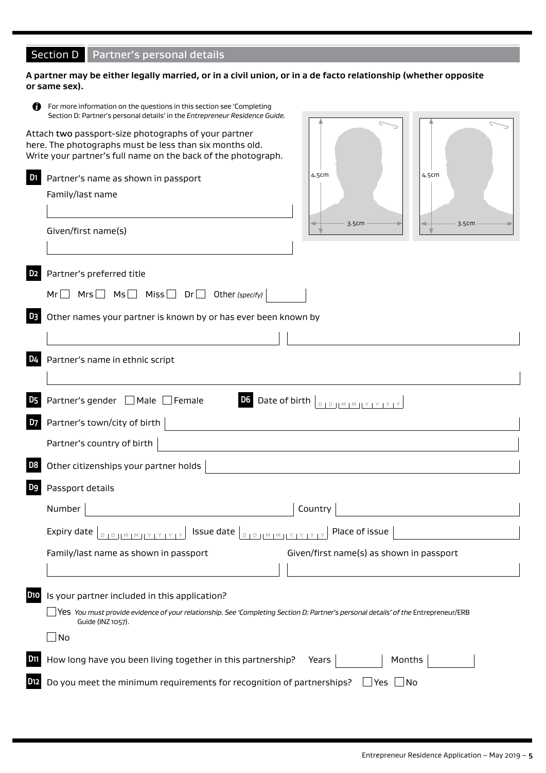# Section D Partner's personal details

# **A partner may be either legally married, or in a civil union, or in a de facto relationship (whether opposite or same sex).**

|                       | For more information on the questions in this section see 'Completing<br>Section D: Partner's personal details' in the Entrepreneur Residence Guide.                             |                                                                   |       |
|-----------------------|----------------------------------------------------------------------------------------------------------------------------------------------------------------------------------|-------------------------------------------------------------------|-------|
|                       | Attach two passport-size photographs of your partner<br>here. The photographs must be less than six months old.<br>Write your partner's full name on the back of the photograph. |                                                                   |       |
| D <sub>1</sub>        | Partner's name as shown in passport                                                                                                                                              | 4.5cm                                                             | 4.5cm |
|                       | Family/last name                                                                                                                                                                 |                                                                   |       |
|                       |                                                                                                                                                                                  |                                                                   |       |
|                       | Given/first name(s)                                                                                                                                                              | 3.5cm                                                             | 3.5cm |
|                       |                                                                                                                                                                                  |                                                                   |       |
| D <sub>2</sub>        | Partner's preferred title                                                                                                                                                        |                                                                   |       |
|                       | $Mrs$ $\Box$ $Ms$ $\Box$ $Miss \Box$ $Dr \Box$ Other (specify)<br>Mr                                                                                                             |                                                                   |       |
| D3                    | Other names your partner is known by or has ever been known by                                                                                                                   |                                                                   |       |
|                       |                                                                                                                                                                                  |                                                                   |       |
| D4                    | Partner's name in ethnic script                                                                                                                                                  |                                                                   |       |
| D <sub>5</sub>        | Partner's gender   Male Female                                                                                                                                                   | <b>D6</b> Date of birth $\boxed{D + D + [M + M + Y + Y + Y + Y]}$ |       |
| D7                    | Partner's town/city of birth                                                                                                                                                     |                                                                   |       |
|                       | Partner's country of birth                                                                                                                                                       |                                                                   |       |
| D8                    | Other citizenships your partner holds                                                                                                                                            |                                                                   |       |
| D9                    | Passport details                                                                                                                                                                 |                                                                   |       |
|                       | Number                                                                                                                                                                           | Country                                                           |       |
|                       | Expiry date                                                                                                                                                                      | Place of issue                                                    |       |
|                       | Family/last name as shown in passport                                                                                                                                            | Given/first name(s) as shown in passport                          |       |
|                       |                                                                                                                                                                                  |                                                                   |       |
| <b>D<sub>10</sub></b> | Is your partner included in this application?                                                                                                                                    |                                                                   |       |
|                       | Yes You must provide evidence of your relationship. See 'Completing Section D: Partner's personal details' of the Entrepreneur/ERB $\,$<br>Guide (INZ 1057).                     |                                                                   |       |
|                       | $\Box$ No                                                                                                                                                                        |                                                                   |       |
| D11                   | How long have you been living together in this partnership?                                                                                                                      | Months<br>Years                                                   |       |
| D12                   | Do you meet the minimum requirements for recognition of partnerships?                                                                                                            | $\Box$ Yes $\Box$ No                                              |       |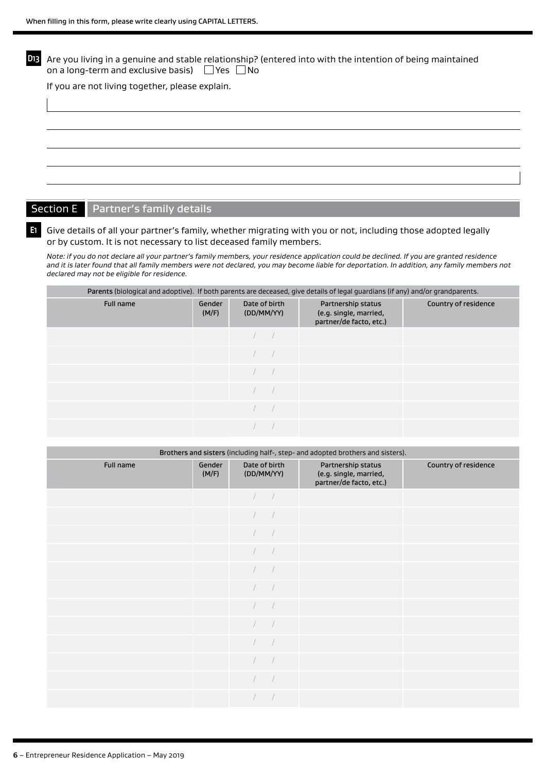| D13 I | Are you living in a genuine and stable relationship? (entered into with the intention of being maintained<br>on a long-term and exclusive basis) $\Box$ Yes $\Box$ No |
|-------|-----------------------------------------------------------------------------------------------------------------------------------------------------------------------|
|       | If you are not living together, please explain.                                                                                                                       |
|       |                                                                                                                                                                       |
|       |                                                                                                                                                                       |
|       |                                                                                                                                                                       |
|       |                                                                                                                                                                       |
|       |                                                                                                                                                                       |
|       |                                                                                                                                                                       |
|       |                                                                                                                                                                       |

# Section E Partner's family details

**E1** Give details of all your partner's family, whether migrating with you or not, including those adopted legally or by custom. It is not necessary to list deceased family members.

*Note: if you do not declare all your partner's family members, your residence application could be declined. If you are granted residence and it is later found that all family members were not declared, you may become liable for deportation. In addition, any family members not declared may not be eligible for residence.*

| Parents (biological and adoptive). If both parents are deceased, give details of legal guardians (if any) and/or grandparents. |                 |                             |                                                                         |                      |  |  |  |
|--------------------------------------------------------------------------------------------------------------------------------|-----------------|-----------------------------|-------------------------------------------------------------------------|----------------------|--|--|--|
| Full name                                                                                                                      | Gender<br>(M/F) | Date of birth<br>(DD/MM/YY) | Partnership status<br>(e.g. single, married,<br>partner/de facto, etc.) | Country of residence |  |  |  |
|                                                                                                                                |                 |                             |                                                                         |                      |  |  |  |
|                                                                                                                                |                 |                             |                                                                         |                      |  |  |  |
|                                                                                                                                |                 |                             |                                                                         |                      |  |  |  |
|                                                                                                                                |                 |                             |                                                                         |                      |  |  |  |
|                                                                                                                                |                 |                             |                                                                         |                      |  |  |  |
|                                                                                                                                |                 |                             |                                                                         |                      |  |  |  |

| Brothers and sisters (including half-, step- and adopted brothers and sisters). |                 |                             |                                                                         |                      |  |  |
|---------------------------------------------------------------------------------|-----------------|-----------------------------|-------------------------------------------------------------------------|----------------------|--|--|
| Full name                                                                       | Gender<br>(M/F) | Date of birth<br>(DD/MM/YY) | Partnership status<br>(e.g. single, married,<br>partner/de facto, etc.) | Country of residence |  |  |
|                                                                                 |                 |                             |                                                                         |                      |  |  |
|                                                                                 |                 |                             |                                                                         |                      |  |  |
|                                                                                 |                 | $\sqrt{2}$                  |                                                                         |                      |  |  |
|                                                                                 |                 | $\sqrt{2}$                  |                                                                         |                      |  |  |
|                                                                                 |                 |                             |                                                                         |                      |  |  |
|                                                                                 |                 | $\sqrt{2}$                  |                                                                         |                      |  |  |
|                                                                                 |                 | $\sqrt{2}$                  |                                                                         |                      |  |  |
|                                                                                 |                 | $\sqrt{2}$                  |                                                                         |                      |  |  |
|                                                                                 |                 |                             |                                                                         |                      |  |  |
|                                                                                 |                 | $\sqrt{2}$<br>$\sqrt{2}$    |                                                                         |                      |  |  |
|                                                                                 |                 |                             |                                                                         |                      |  |  |
|                                                                                 |                 |                             |                                                                         |                      |  |  |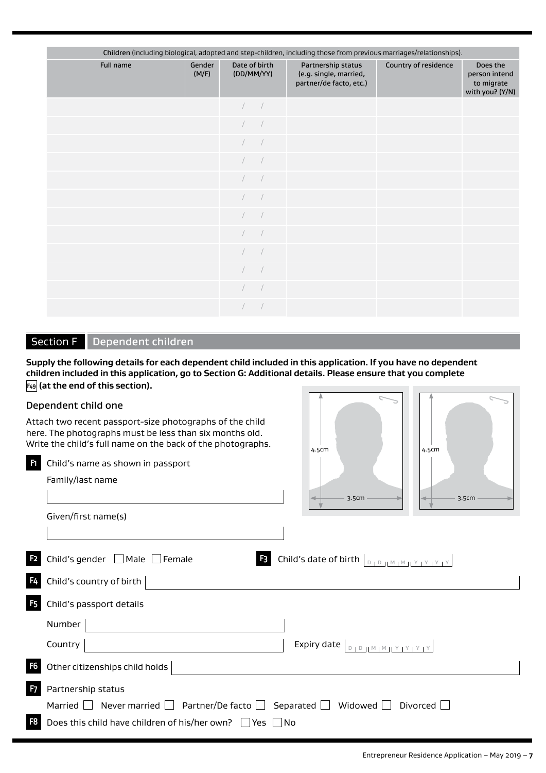|                  | Children (including biological, adopted and step-children, including those from previous marriages/relationships). |                             |  |                                                                         |                      |                                                            |  |
|------------------|--------------------------------------------------------------------------------------------------------------------|-----------------------------|--|-------------------------------------------------------------------------|----------------------|------------------------------------------------------------|--|
| <b>Full name</b> | Gender<br>(M/F)                                                                                                    | Date of birth<br>(DD/MM/YY) |  | Partnership status<br>(e.g. single, married,<br>partner/de facto, etc.) | Country of residence | Does the<br>person intend<br>to migrate<br>with you? (Y/N) |  |
|                  |                                                                                                                    |                             |  |                                                                         |                      |                                                            |  |
|                  |                                                                                                                    |                             |  |                                                                         |                      |                                                            |  |
|                  |                                                                                                                    |                             |  |                                                                         |                      |                                                            |  |
|                  |                                                                                                                    |                             |  |                                                                         |                      |                                                            |  |
|                  |                                                                                                                    |                             |  |                                                                         |                      |                                                            |  |
|                  |                                                                                                                    |                             |  |                                                                         |                      |                                                            |  |
|                  |                                                                                                                    |                             |  |                                                                         |                      |                                                            |  |
|                  |                                                                                                                    |                             |  |                                                                         |                      |                                                            |  |
|                  |                                                                                                                    |                             |  |                                                                         |                      |                                                            |  |
|                  |                                                                                                                    |                             |  |                                                                         |                      |                                                            |  |
|                  |                                                                                                                    |                             |  |                                                                         |                      |                                                            |  |
|                  |                                                                                                                    |                             |  |                                                                         |                      |                                                            |  |

# Section F | Dependent children

**F1** Child's name as shown in passport

**Supply the following details for each dependent child included in this application. If you have no dependent children included in this application, go to Section G: Additional details. Please ensure that you complete F49 (at the end of this section).**

# Dependent child one

Family/last name

Given/first name(s)

Attach two recent passport-size photographs of the child here. The photographs must be less than six months old. Write the child's full name on the back of the photographs.

| 4.5cm | 4.5cm |
|-------|-------|
| 3.5cm | 3.5cm |

|  |  | <b>E</b> Child's gender $\Box$ Male $\Box$ Female |  |  |  |  |
|--|--|---------------------------------------------------|--|--|--|--|
|--|--|---------------------------------------------------|--|--|--|--|

|                | $F4$ Child's country of birth $ $                                           |
|----------------|-----------------------------------------------------------------------------|
| F <sub>5</sub> | Child's passport details                                                    |
|                | Number                                                                      |
|                | Expiry date $\vert_{\text{DIDHMIMINY}$<br>Country                           |
|                | $\overline{\phantom{a}}$ Other citizenships child holds                     |
|                | <b>7</b> Partnership status                                                 |
|                | Married   Never married   Partner/De facto   Separated   Widowed   Divorced |
|                | <b>3</b> Does this child have children of his/her own? $\Box$ Yes $\Box$ No |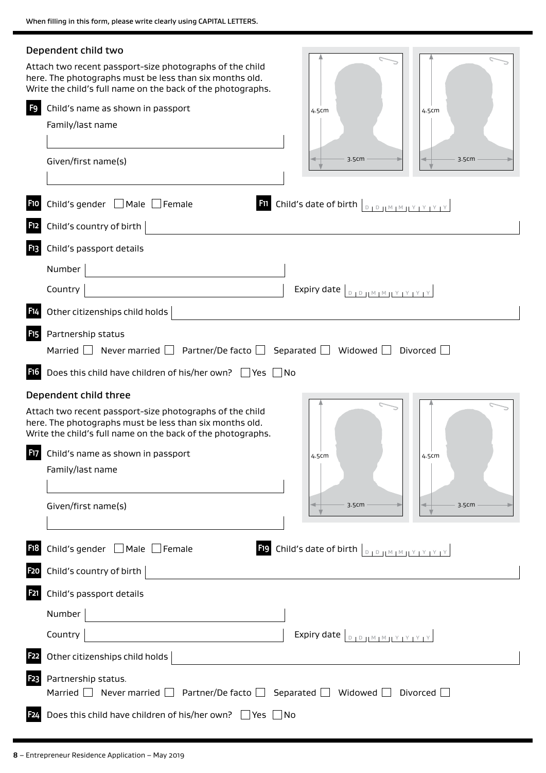|                  | Dependent child two                                                                                                                                                                                                                                                                                                                                                                                                                                     |
|------------------|---------------------------------------------------------------------------------------------------------------------------------------------------------------------------------------------------------------------------------------------------------------------------------------------------------------------------------------------------------------------------------------------------------------------------------------------------------|
|                  | Attach two recent passport-size photographs of the child<br>here. The photographs must be less than six months old.<br>Write the child's full name on the back of the photographs.                                                                                                                                                                                                                                                                      |
| F9               | Child's name as shown in passport<br>4.5cm<br>4.5cm                                                                                                                                                                                                                                                                                                                                                                                                     |
|                  | Family/last name                                                                                                                                                                                                                                                                                                                                                                                                                                        |
|                  |                                                                                                                                                                                                                                                                                                                                                                                                                                                         |
|                  | 3.5cm<br>3.5cm<br>Given/first name(s)                                                                                                                                                                                                                                                                                                                                                                                                                   |
| <b>F10</b>       | Child's gender $\Box$ Male $\Box$ Female<br><b>Fil</b> Child's date of birth $\vert_{\text{DIPHMMINIVIVIV}}$                                                                                                                                                                                                                                                                                                                                            |
| <b>F12</b>       | Child's country of birth                                                                                                                                                                                                                                                                                                                                                                                                                                |
| <b>F13</b>       | Child's passport details                                                                                                                                                                                                                                                                                                                                                                                                                                |
|                  | Number                                                                                                                                                                                                                                                                                                                                                                                                                                                  |
|                  | Country<br>Expiry date $\left[ \begin{array}{c} B & D \end{array} \right]$                                                                                                                                                                                                                                                                                                                                                                              |
|                  | Other citizenships child holds                                                                                                                                                                                                                                                                                                                                                                                                                          |
| F <sub>15</sub>  | Partnership status                                                                                                                                                                                                                                                                                                                                                                                                                                      |
|                  | Married $\Box$ Never married $\Box$ Partner/De facto $\Box$ Separated $\Box$ Widowed $\Box$ Divorced $\Box$                                                                                                                                                                                                                                                                                                                                             |
| <b>F16</b>       | Does this child have children of his/her own? $\Box$ Yes $\Box$ No                                                                                                                                                                                                                                                                                                                                                                                      |
|                  | Dependent child three                                                                                                                                                                                                                                                                                                                                                                                                                                   |
|                  | Attach two recent passport-size photographs of the child<br>here. The photographs must be less than six months old.<br>Write the child's full name on the back of the photographs.                                                                                                                                                                                                                                                                      |
| F17              | Child's name as shown in passport<br>4.5cm<br>4.5cm                                                                                                                                                                                                                                                                                                                                                                                                     |
|                  | Family/last name                                                                                                                                                                                                                                                                                                                                                                                                                                        |
|                  |                                                                                                                                                                                                                                                                                                                                                                                                                                                         |
|                  | Given/first name(s)<br>3.5cm<br>3.5cm                                                                                                                                                                                                                                                                                                                                                                                                                   |
|                  |                                                                                                                                                                                                                                                                                                                                                                                                                                                         |
| <b>F18</b>       | <b>Fig.</b> Child's date of birth $\left[\begin{array}{c c} 0 & 0 & \text{if } 0 & \text{if } 0 & \text{if } 0 & \text{if } 0 & \text{if } 0 & \text{if } 0 & \text{if } 0 & \text{if } 0 & \text{if } 0 & \text{if } 0 & \text{if } 0 & \text{if } 0 & \text{if } 0 & \text{if } 0 & \text{if } 0 & \text{if } 0 & \text{if } 0 & \text{if } 0 & \text{if } 0 & \text{if } 0 & \text{if } 0 & \text{if } $<br>Child's gender $\Box$ Male $\Box$ Female |
| <b>F20</b>       | Child's country of birth                                                                                                                                                                                                                                                                                                                                                                                                                                |
| <b>F21</b>       | Child's passport details                                                                                                                                                                                                                                                                                                                                                                                                                                |
|                  | Number                                                                                                                                                                                                                                                                                                                                                                                                                                                  |
|                  | Country<br>Expiry date $\boxed{\begin{array}{c} \text{D} \text{D} \text{I} \text{M} \text{M} \text{J} \text{V} \text{I} \text{V} \text{I} \text{V} \text{I} \text{V} \text{I} \end{array}}$                                                                                                                                                                                                                                                             |
| <b>F22</b>       | Other citizenships child holds                                                                                                                                                                                                                                                                                                                                                                                                                          |
| F <sub>2</sub> 3 | Partnership status.<br>Married $\Box$ Never married $\Box$ Partner/De facto $\Box$ Separated $\Box$ Widowed $\Box$ Divorced $\Box$                                                                                                                                                                                                                                                                                                                      |
| F <sub>24</sub>  | Does this child have children of his/her own? $\Box$ Yes $\Box$ No                                                                                                                                                                                                                                                                                                                                                                                      |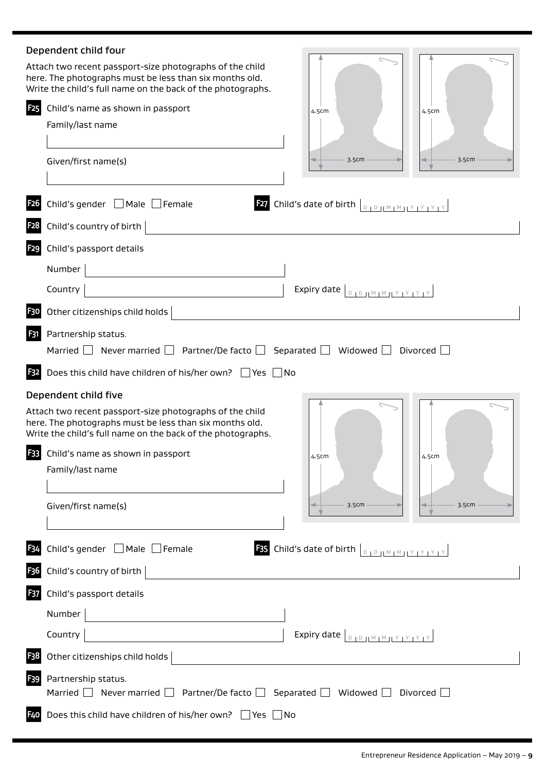# Dependent child four Attach two recent passport-size photographs of the child here. The photographs must be less than six months old. Write the child's full name on the back of the photographs. **F25** Child's name as shown in passport 4.5cm 4.5cm Family/last name 3.5cm 3.5cm Given/first name(s) **F26** Child's gender  $\Box$  Male  $\Box$  Female **F27** Child's date of birth  $\Box_{\Box\Box\Box\Box\Box\Box}$ **F28** Child's country of birth **F29** Child's passport details Number  $\begin{array}{|c|c|c|c|c|}\hline \textbf{Country} & \textbf{ຸ$ **F30** Other citizenships child holds **F31** Partnership status. Married  $\Box$  Never married  $\Box$  Partner/De facto  $\Box$  Separated  $\Box$  Widowed  $\Box$  Divorced  $\Box$ **F32** Does this child have children of his/her own?  $\Box$  Yes  $\Box$  No Dependent child five Attach two recent passport-size photographs of the child here. The photographs must be less than six months old. Write the child's full name on the back of the photographs. **F33** Child's name as shown in passport 4.5cm 4.5cm Family/last name 3.5cm Given/first name(s) 3.5cm**F34** Child's gender  $\Box$  Male  $\Box$  Female **F35** Child's date of birth  $\Box_{D \Box D \Box M \Box M \Box Y \Box Y \Box Y \Box Y}$ **F36** Child's country of birth **F37** Child's passport details Number **Country**  $\begin{array}{c|c|c|c|c} \hline \text{Equation (1) } & \text{Equation (2) } \end{array}$ **F38** Other citizenships child holds **F39** Partnership status. Married  $\Box$  Never married  $\Box$  Partner/De facto  $\Box$  Separated  $\Box$  Widowed  $\Box$  Divorced  $\Box$ **F40** Does this child have children of his/her own?  $\Box$  Yes  $\Box$  No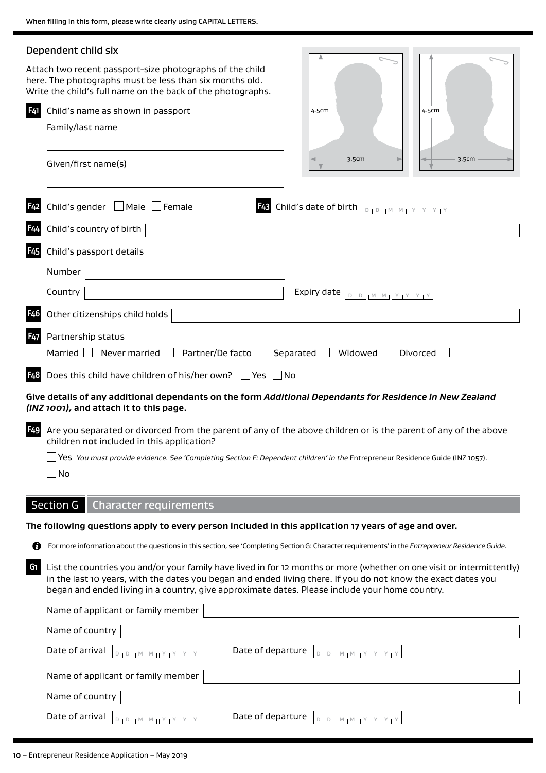|                 | Dependent child six                                                                                                                                                                                                                                                                                                                       |
|-----------------|-------------------------------------------------------------------------------------------------------------------------------------------------------------------------------------------------------------------------------------------------------------------------------------------------------------------------------------------|
|                 | Attach two recent passport-size photographs of the child<br>here. The photographs must be less than six months old.<br>Write the child's full name on the back of the photographs.                                                                                                                                                        |
| F41             | Child's name as shown in passport<br>4.5cm<br>4.5cm                                                                                                                                                                                                                                                                                       |
|                 | Family/last name                                                                                                                                                                                                                                                                                                                          |
|                 | 3.5cm<br>3.5cm<br>Given/first name(s)                                                                                                                                                                                                                                                                                                     |
|                 | <b>F43</b> Child's date of birth $\left[\begin{smallmatrix} 0 & 1 & 0 \ 0 & 1 & 0 \end{smallmatrix}\right]$ $\left[\begin{smallmatrix} N+1 & 1 & 1 \ 1 & 1 & 1 \end{smallmatrix}\right]$<br>Child's gender $\Box$ Male $\Box$ Female                                                                                                      |
|                 | Child's country of birth                                                                                                                                                                                                                                                                                                                  |
| F45             | Child's passport details                                                                                                                                                                                                                                                                                                                  |
|                 | Number                                                                                                                                                                                                                                                                                                                                    |
|                 | Expiry date $\left\lfloor \frac{D}{D} \right\rfloor \left\lfloor \frac{M}{M} \right\rfloor \left\lfloor \frac{Y}{Y} \right\rfloor \left\lfloor \frac{Y}{Y} \right\rfloor$<br>Country                                                                                                                                                      |
|                 | Other citizenships child holds                                                                                                                                                                                                                                                                                                            |
| <b>F47</b>      | Partnership status<br>Partner/De facto $\Box$ Separated $\Box$ Widowed $\Box$<br>Divorced $\Box$<br>Married  <br>Never married $\Box$                                                                                                                                                                                                     |
| F48             | Does this child have children of his/her own? $\Box$ Yes $\Box$ No                                                                                                                                                                                                                                                                        |
|                 | Give details of any additional dependants on the form Additional Dependants for Residence in New Zealand<br>(INZ 1001), and attach it to this page.                                                                                                                                                                                       |
| F <sub>49</sub> | Are you separated or divorced from the parent of any of the above children or is the parent of any of the above<br>children not included in this application?                                                                                                                                                                             |
|                 | Yes You must provide evidence. See 'Completing Section F: Dependent children' in the Entrepreneur Residence Guide (INZ 1057).<br>No                                                                                                                                                                                                       |
|                 | <b>Section G</b><br><b>Character requirements</b>                                                                                                                                                                                                                                                                                         |
|                 | The following questions apply to every person included in this application 17 years of age and over.                                                                                                                                                                                                                                      |
| ŋ               | For more information about the questions in this section, see 'Completing Section G: Character requirements' in the Entrepreneur Residence Guide.                                                                                                                                                                                         |
| G1              | List the countries you and/or your family have lived in for 12 months or more (whether on one visit or intermittently)<br>in the last 10 years, with the dates you began and ended living there. If you do not know the exact dates you<br>began and ended living in a country, give approximate dates. Please include your home country. |
|                 | Name of applicant or family member                                                                                                                                                                                                                                                                                                        |
|                 | Name of country                                                                                                                                                                                                                                                                                                                           |
|                 | Date of arrival<br>Date of departure<br>$\begin{array}{c} D \parallel D \parallel \parallel M \parallel M \parallel Y \parallel Y \parallel Y \parallel Y \end{array}$<br>$D + D +  M + M +  Y + Y + Y + Y $                                                                                                                              |
|                 | Name of applicant or family member                                                                                                                                                                                                                                                                                                        |
|                 | Name of country                                                                                                                                                                                                                                                                                                                           |
|                 | Date of arrival<br>Date of departure<br>D   D     M   M     Y   Y   Y   Y<br>$D \parallel D \parallel M \parallel M \parallel Y \parallel Y \parallel Y \parallel$                                                                                                                                                                        |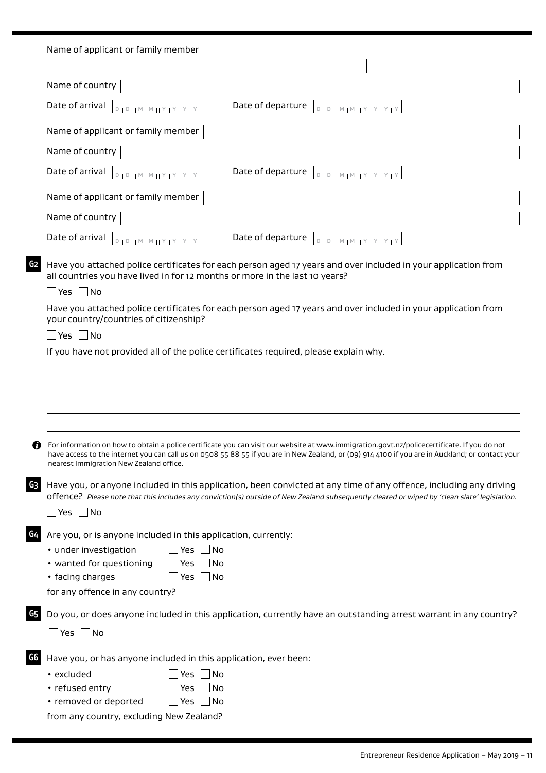|    | Name of applicant or family member                                                                                                                                                                                                                                                                                                         |
|----|--------------------------------------------------------------------------------------------------------------------------------------------------------------------------------------------------------------------------------------------------------------------------------------------------------------------------------------------|
|    | Name of country                                                                                                                                                                                                                                                                                                                            |
|    | Date of arrival<br>Date of departure<br>$D + D + M + M + Y + Y + Y + Y$<br>$D + D + M + M + Y + Y + Y + Y$                                                                                                                                                                                                                                 |
|    | Name of applicant or family member                                                                                                                                                                                                                                                                                                         |
|    | Name of country                                                                                                                                                                                                                                                                                                                            |
|    | Date of arrival<br>Date of departure<br><u>D   D   M   M   Y   Y   Y</u>   Y<br>$D + D + M + M + Y + Y + Y + Y$                                                                                                                                                                                                                            |
|    | Name of applicant or family member                                                                                                                                                                                                                                                                                                         |
|    | Name of country                                                                                                                                                                                                                                                                                                                            |
|    | Date of departure $\boxed{D + D + M + M + Y + Y + Y + Y}$<br>Date of arrival<br>$D + D + M + M + Y + Y + Y + Y$                                                                                                                                                                                                                            |
| G2 | Have you attached police certificates for each person aged 17 years and over included in your application from<br>all countries you have lived in for 12 months or more in the last 10 years?<br>$\sqsupset$ Yes $\sqcap$ No                                                                                                               |
|    | Have you attached police certificates for each person aged 17 years and over included in your application from<br>your country/countries of citizenship?                                                                                                                                                                                   |
|    | $\Box$ Yes $\Box$ No                                                                                                                                                                                                                                                                                                                       |
|    | If you have not provided all of the police certificates required, please explain why.                                                                                                                                                                                                                                                      |
|    |                                                                                                                                                                                                                                                                                                                                            |
|    |                                                                                                                                                                                                                                                                                                                                            |
|    |                                                                                                                                                                                                                                                                                                                                            |
|    |                                                                                                                                                                                                                                                                                                                                            |
| 7  | For information on how to obtain a police certificate you can visit our website at www.immigration.govt.nz/policecertificate. If you do not<br>have access to the internet you can call us on 0508 55 88 55 if you are in New Zealand, or (09) 914 4100 if you are in Auckland; or contact your<br>nearest Immigration New Zealand office. |
| Gз | Have you, or anyone included in this application, been convicted at any time of any offence, including any driving<br>offence? Please note that this includes any conviction(s) outside of New Zealand subsequently cleared or wiped by 'clean slate' legislation.                                                                         |
|    | $\sqsupset$ Yes $\sqcap$ No                                                                                                                                                                                                                                                                                                                |
| G4 | Are you, or is anyone included in this application, currently:                                                                                                                                                                                                                                                                             |
|    | • under investigation<br>$\Box$ Yes $\Box$<br>$\Box$ No                                                                                                                                                                                                                                                                                    |
|    | • wanted for questioning<br>Yes<br>$\Box$ No                                                                                                                                                                                                                                                                                               |
|    | Yes $\Box$ No<br>• facing charges<br>for any offence in any country?                                                                                                                                                                                                                                                                       |
|    |                                                                                                                                                                                                                                                                                                                                            |
| G5 | Do you, or does anyone included in this application, currently have an outstanding arrest warrant in any country?                                                                                                                                                                                                                          |
|    | _ Yes  _ No                                                                                                                                                                                                                                                                                                                                |
| G6 | Have you, or has anyone included in this application, ever been:                                                                                                                                                                                                                                                                           |
|    | No<br>• excluded<br>Yes                                                                                                                                                                                                                                                                                                                    |
|    | • refused entry<br>$\blacksquare$ No<br>Yes                                                                                                                                                                                                                                                                                                |
|    | $\Box$ Yes $\Box$ No<br>• removed or deported                                                                                                                                                                                                                                                                                              |
|    | from any country, excluding New Zealand?                                                                                                                                                                                                                                                                                                   |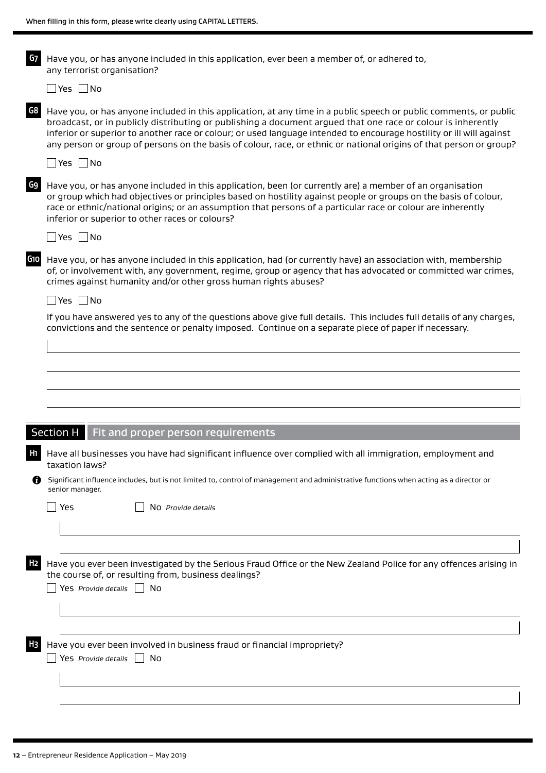| G7             | Have you, or has anyone included in this application, ever been a member of, or adhered to,<br>any terrorist organisation?                                                                                                                                                                                                                                                                                                                                                        |  |  |  |
|----------------|-----------------------------------------------------------------------------------------------------------------------------------------------------------------------------------------------------------------------------------------------------------------------------------------------------------------------------------------------------------------------------------------------------------------------------------------------------------------------------------|--|--|--|
|                | $\Box$ Yes $\Box$ No                                                                                                                                                                                                                                                                                                                                                                                                                                                              |  |  |  |
| G8             | Have you, or has anyone included in this application, at any time in a public speech or public comments, or public<br>broadcast, or in publicly distributing or publishing a document argued that one race or colour is inherently<br>inferior or superior to another race or colour; or used language intended to encourage hostility or ill will against<br>any person or group of persons on the basis of colour, race, or ethnic or national origins of that person or group? |  |  |  |
|                | $\Box$ Yes $\Box$ No                                                                                                                                                                                                                                                                                                                                                                                                                                                              |  |  |  |
| G9             | Have you, or has anyone included in this application, been (or currently are) a member of an organisation<br>or group which had objectives or principles based on hostility against people or groups on the basis of colour,<br>race or ethnic/national origins; or an assumption that persons of a particular race or colour are inherently<br>inferior or superior to other races or colours?                                                                                   |  |  |  |
|                | $\Box$ Yes $\Box$ No                                                                                                                                                                                                                                                                                                                                                                                                                                                              |  |  |  |
| G1O            | Have you, or has anyone included in this application, had (or currently have) an association with, membership<br>of, or involvement with, any government, regime, group or agency that has advocated or committed war crimes,<br>crimes against humanity and/or other gross human rights abuses?                                                                                                                                                                                  |  |  |  |
|                | $\Box$ Yes $\Box$ No                                                                                                                                                                                                                                                                                                                                                                                                                                                              |  |  |  |
|                | If you have answered yes to any of the questions above give full details. This includes full details of any charges,<br>convictions and the sentence or penalty imposed. Continue on a separate piece of paper if necessary.                                                                                                                                                                                                                                                      |  |  |  |
|                |                                                                                                                                                                                                                                                                                                                                                                                                                                                                                   |  |  |  |
|                |                                                                                                                                                                                                                                                                                                                                                                                                                                                                                   |  |  |  |
|                |                                                                                                                                                                                                                                                                                                                                                                                                                                                                                   |  |  |  |
|                |                                                                                                                                                                                                                                                                                                                                                                                                                                                                                   |  |  |  |
|                | Section H<br>Fit and proper person requirements                                                                                                                                                                                                                                                                                                                                                                                                                                   |  |  |  |
| H1 I           | Have all businesses you have had significant influence over complied with all immigration, employment and<br>taxation laws?                                                                                                                                                                                                                                                                                                                                                       |  |  |  |
|                | Significant influence includes, but is not limited to, control of management and administrative functions when acting as a director or<br>senior manager.                                                                                                                                                                                                                                                                                                                         |  |  |  |
|                | Yes<br>No Provide details                                                                                                                                                                                                                                                                                                                                                                                                                                                         |  |  |  |
|                |                                                                                                                                                                                                                                                                                                                                                                                                                                                                                   |  |  |  |
|                |                                                                                                                                                                                                                                                                                                                                                                                                                                                                                   |  |  |  |
| H2             | Have you ever been investigated by the Serious Fraud Office or the New Zealand Police for any offences arising in<br>the course of, or resulting from, business dealings?                                                                                                                                                                                                                                                                                                         |  |  |  |
|                | Yes Provide details $\Box$ No                                                                                                                                                                                                                                                                                                                                                                                                                                                     |  |  |  |
|                |                                                                                                                                                                                                                                                                                                                                                                                                                                                                                   |  |  |  |
|                |                                                                                                                                                                                                                                                                                                                                                                                                                                                                                   |  |  |  |
| H <sub>3</sub> | Have you ever been involved in business fraud or financial impropriety?<br>Yes Provide details<br>No                                                                                                                                                                                                                                                                                                                                                                              |  |  |  |
|                |                                                                                                                                                                                                                                                                                                                                                                                                                                                                                   |  |  |  |
|                |                                                                                                                                                                                                                                                                                                                                                                                                                                                                                   |  |  |  |
|                |                                                                                                                                                                                                                                                                                                                                                                                                                                                                                   |  |  |  |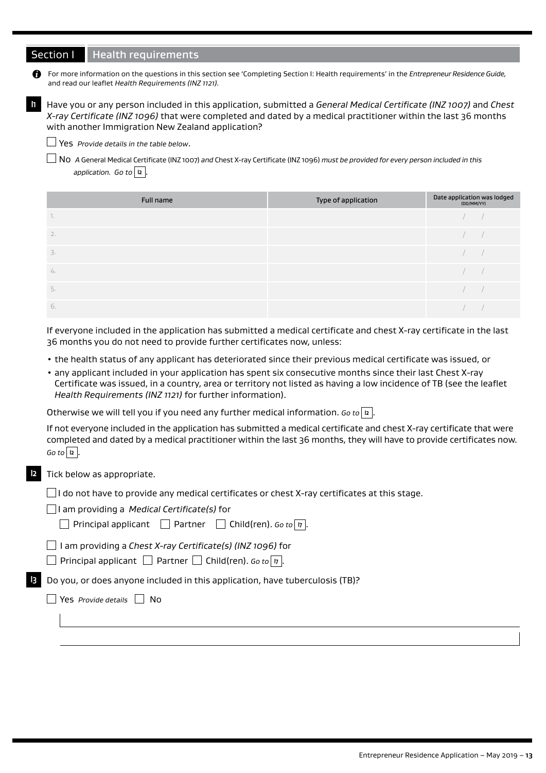# Section I Health requirements

For more information on the questions in this section see 'Completing Section I: Health requirements' in the *Entrepreneur Residence Guide,* and read our leaflet *Health Requirements (INZ 1121).*

**I1** Have you or any person included in this application, submitted a *General Medical Certificate (INZ 1007)* and *Chest X-ray Certificate (INZ 1096)* that were completed and dated by a medical practitioner within the last 36 months with another Immigration New Zealand application?

Yes *Provide details in the table below*.

No *A* General Medical Certificate (INZ 1007) *and* Chest X-ray Certificate (INZ 1096) *must be provided for every person included in this*  application. Go to  $|2|$ .

|              | Full name | Type of application | Date application was lodged<br>(DD/MM/YY) |  |
|--------------|-----------|---------------------|-------------------------------------------|--|
| $\mathbf{I}$ |           |                     |                                           |  |
| 2.           |           |                     |                                           |  |
| 3.           |           |                     |                                           |  |
| 4.           |           |                     |                                           |  |
| 5.           |           |                     |                                           |  |
| 6.           |           |                     |                                           |  |

If everyone included in the application has submitted a medical certificate and chest X-ray certificate in the last 36 months you do not need to provide further certificates now, unless:

- the health status of any applicant has deteriorated since their previous medical certificate was issued, or
- any applicant included in your application has spent six consecutive months since their last Chest X-ray Certificate was issued, in a country, area or territory not listed as having a low incidence of TB (see the leaflet *Health Requirements (INZ 1121)* for further information).

Otherwise we will tell you if you need any further medical information. *Go to*  $\boxed{2}$ .

If not everyone included in the application has submitted a medical certificate and chest X-ray certificate that were completed and dated by a medical practitioner within the last 36 months, they will have to provide certificates now.  $Go$  to  $\boxed{12}$ .

### Tick below as appropriate.

 $\Box$ I do not have to provide any medical certificates or chest X-ray certificates at this stage.

|  |  | $\Box$ I am providing a Medical Certificate(s) for |
|--|--|----------------------------------------------------|
|--|--|----------------------------------------------------|

| $\rfloor$ Child(ren). Go to $\mid$ $\mid$ $\mid$ .<br>  Partner<br>$\perp$ Principal applicant |  |  |
|------------------------------------------------------------------------------------------------|--|--|
|------------------------------------------------------------------------------------------------|--|--|

I am providing a *Chest X-ray Certificate(s) (INZ 1096)* for

**Principal applicant** Partner  $\Box$  Child(ren). *Go to*  $\boxed{17}$ .

**I3** Do you, or does anyone included in this application, have tuberculosis (TB)?

Yes *Provide details*  No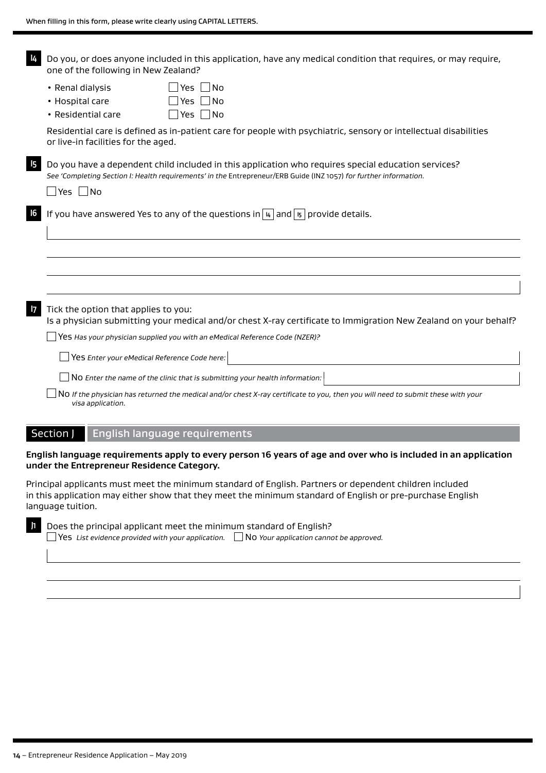| 14           | Do you, or does anyone included in this application, have any medical condition that requires, or may require,<br>one of the following in New Zealand?                                                                                  |
|--------------|-----------------------------------------------------------------------------------------------------------------------------------------------------------------------------------------------------------------------------------------|
|              | • Renal dialysis<br>Yes<br> No<br>• Hospital care<br>l No<br><b>Yes</b><br>$\vert$ Yes $\vert$ No<br>• Residential care                                                                                                                 |
|              | Residential care is defined as in-patient care for people with psychiatric, sensory or intellectual disabilities<br>or live-in facilities for the aged.                                                                                 |
| 15           | Do you have a dependent child included in this application who requires special education services?<br>See 'Completing Section I: Health requirements' in the Entrepreneur/ERB Guide (INZ 1057) for further information.<br> Yes    No  |
| 16           | If you have answered Yes to any of the questions in $ u $ and $ v $ provide details.                                                                                                                                                    |
|              |                                                                                                                                                                                                                                         |
| $\mathsf{I}$ | Tick the option that applies to you:<br>Is a physician submitting your medical and/or chest X-ray certificate to Immigration New Zealand on your behalf?<br>Yes Has your physician supplied you with an eMedical Reference Code (NZER)? |
|              | Yes Enter your eMedical Reference Code here:                                                                                                                                                                                            |
|              | NO Enter the name of the clinic that is submitting your health information:                                                                                                                                                             |
|              | NO If the physician has returned the medical and/or chest X-ray certificate to you, then you will need to submit these with your<br>visa application.                                                                                   |
|              | Section J<br><b>English language requirements</b>                                                                                                                                                                                       |

## **English language requirements apply to every person 16 years of age and over who is included in an application under the Entrepreneur Residence Category.**

Principal applicants must meet the minimum standard of English. Partners or dependent children included in this application may either show that they meet the minimum standard of English or pre-purchase English language tuition.

| 11 L | Does the principal applicant meet the minimum standard of English?                                         |  |
|------|------------------------------------------------------------------------------------------------------------|--|
|      | <b>No Yes</b> List evidence provided with your application. $\Box$ No Your application cannot be approved. |  |
|      |                                                                                                            |  |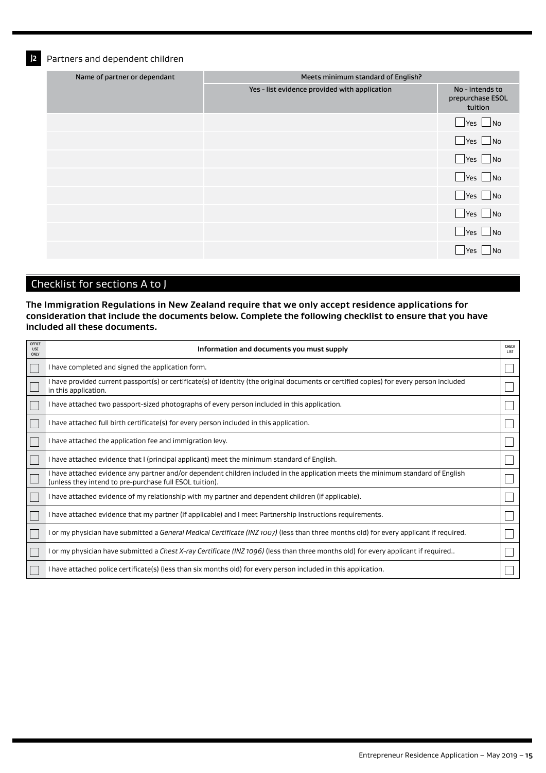**J2** Partners and dependent children

| Name of partner or dependant | Meets minimum standard of English?            |                                                |
|------------------------------|-----------------------------------------------|------------------------------------------------|
|                              | Yes - list evidence provided with application | No - intends to<br>prepurchase ESOL<br>tuition |
|                              |                                               | $\Box$ Yes $\Box$ No                           |
|                              |                                               | $\Box$ Yes $\Box$ No                           |
|                              |                                               | $\Box$ Yes $\Box$ No                           |
|                              |                                               | $\Box$ Yes $\Box$ No                           |
|                              |                                               | $\Box$ Yes $\Box$ No                           |
|                              |                                               | $\Box$ Yes $\Box$ No                           |
|                              |                                               | $\Box$ Yes $\Box$ No                           |
|                              |                                               | No<br>Yes                                      |

# Checklist for sections A to J

**The Immigration Regulations in New Zealand require that we only accept residence applications for consideration that include the documents below. Complete the following checklist to ensure that you have included all these documents.**

| OFFICE<br><b>USE</b><br>ONLY | Information and documents you must supply                                                                                                                                                   | CHECK<br>LIST |
|------------------------------|---------------------------------------------------------------------------------------------------------------------------------------------------------------------------------------------|---------------|
|                              | I have completed and signed the application form.                                                                                                                                           |               |
|                              | I have provided current passport(s) or certificate(s) of identity (the original documents or certified copies) for every person included<br>in this application.                            |               |
|                              | I have attached two passport-sized photographs of every person included in this application.                                                                                                |               |
|                              | I have attached full birth certificate(s) for every person included in this application.                                                                                                    |               |
|                              | I have attached the application fee and immigration levy.                                                                                                                                   |               |
|                              | I have attached evidence that I (principal applicant) meet the minimum standard of English.                                                                                                 |               |
|                              | I have attached evidence any partner and/or dependent children included in the application meets the minimum standard of English<br>(unless they intend to pre-purchase full ESOL tuition). |               |
|                              | I have attached evidence of my relationship with my partner and dependent children (if applicable).                                                                                         |               |
|                              | I have attached evidence that my partner (if applicable) and I meet Partnership Instructions requirements.                                                                                  |               |
|                              | I or my physician have submitted a General Medical Certificate (INZ 1007) (less than three months old) for every applicant if required.                                                     |               |
|                              | l or my physician have submitted a C <i>hest X-ray Certificate (INZ 1096) (</i> less than three months old) for every applicant if required                                                 |               |
|                              | I have attached police certificate(s) (less than six months old) for every person included in this application.                                                                             |               |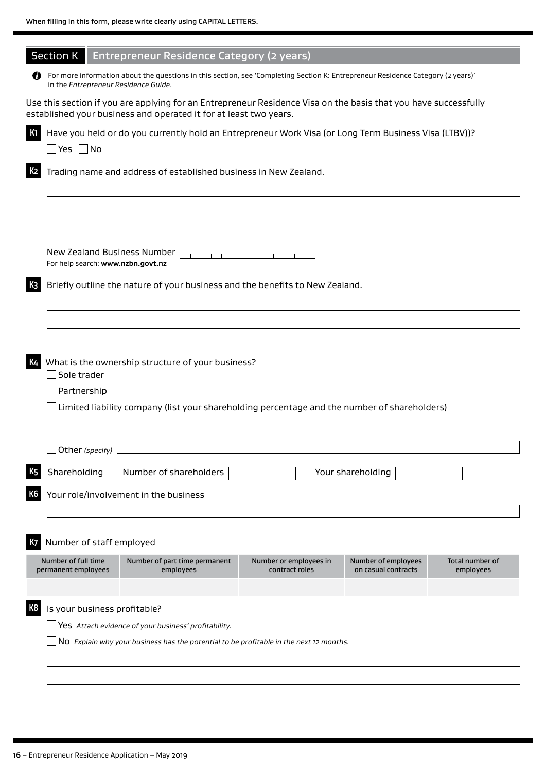| <b>Section K</b>                                                 | <b>Entrepreneur Residence Category (2 years)</b>                                                                                                                                     |                        |                     |                              |  |  |  |  |  |  |
|------------------------------------------------------------------|--------------------------------------------------------------------------------------------------------------------------------------------------------------------------------------|------------------------|---------------------|------------------------------|--|--|--|--|--|--|
| n<br>in the Entrepreneur Residence Guide.                        | For more information about the questions in this section, see 'Completing Section K: Entrepreneur Residence Category (2 years)'                                                      |                        |                     |                              |  |  |  |  |  |  |
|                                                                  | Use this section if you are applying for an Entrepreneur Residence Visa on the basis that you have successfully<br>established your business and operated it for at least two years. |                        |                     |                              |  |  |  |  |  |  |
| К1<br>$\Box$ Yes $\Box$ No                                       | Have you held or do you currently hold an Entrepreneur Work Visa (or Long Term Business Visa (LTBV))?                                                                                |                        |                     |                              |  |  |  |  |  |  |
|                                                                  | Trading name and address of established business in New Zealand.                                                                                                                     |                        |                     |                              |  |  |  |  |  |  |
|                                                                  |                                                                                                                                                                                      |                        |                     |                              |  |  |  |  |  |  |
| New Zealand Business Number<br>For help search: www.nzbn.govt.nz |                                                                                                                                                                                      |                        |                     |                              |  |  |  |  |  |  |
| KЗ                                                               | Briefly outline the nature of your business and the benefits to New Zealand.                                                                                                         |                        |                     |                              |  |  |  |  |  |  |
|                                                                  |                                                                                                                                                                                      |                        |                     |                              |  |  |  |  |  |  |
| Sole trader<br>Partnership                                       | What is the ownership structure of your business?                                                                                                                                    |                        |                     |                              |  |  |  |  |  |  |
|                                                                  | Limited liability company (list your shareholding percentage and the number of shareholders)                                                                                         |                        |                     |                              |  |  |  |  |  |  |
| Other (specify)                                                  |                                                                                                                                                                                      |                        |                     |                              |  |  |  |  |  |  |
| Shareholding                                                     | Number of shareholders                                                                                                                                                               |                        | Your shareholding   |                              |  |  |  |  |  |  |
|                                                                  | Your role/involvement in the business                                                                                                                                                |                        |                     |                              |  |  |  |  |  |  |
| Number of staff employed                                         |                                                                                                                                                                                      |                        |                     |                              |  |  |  |  |  |  |
|                                                                  | Number of part time permanent                                                                                                                                                        | Number or employees in | Number of employees |                              |  |  |  |  |  |  |
| Number of full time<br>permanent employees                       | employees                                                                                                                                                                            | contract roles         | on casual contracts | Total number of<br>employees |  |  |  |  |  |  |
|                                                                  |                                                                                                                                                                                      |                        |                     |                              |  |  |  |  |  |  |
| Is your business profitable?<br>K8                               |                                                                                                                                                                                      |                        |                     |                              |  |  |  |  |  |  |
|                                                                  | Yes Attach evidence of your business' profitability.                                                                                                                                 |                        |                     |                              |  |  |  |  |  |  |
|                                                                  | NO Explain why your business has the potential to be profitable in the next 12 months.                                                                                               |                        |                     |                              |  |  |  |  |  |  |
|                                                                  |                                                                                                                                                                                      |                        |                     |                              |  |  |  |  |  |  |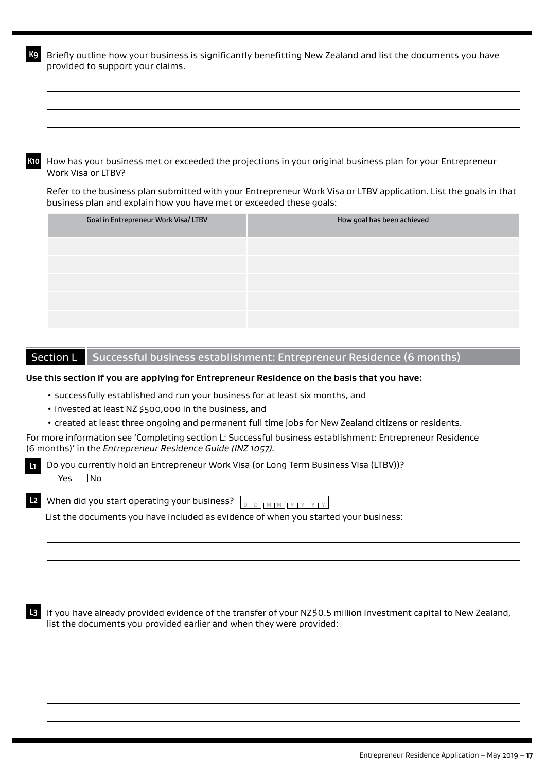**K9** Briefly outline how your business is significantly benefitting New Zealand and list the documents you have provided to support your claims.

**K10** How has your business met or exceeded the projections in your original business plan for your Entrepreneur Work Visa or LTBV?

Refer to the business plan submitted with your Entrepreneur Work Visa or LTBV application. List the goals in that business plan and explain how you have met or exceeded these goals:

| Goal in Entrepreneur Work Visa/ LTBV | How goal has been achieved |
|--------------------------------------|----------------------------|
|                                      |                            |
|                                      |                            |
|                                      |                            |
|                                      |                            |
|                                      |                            |

# Section L Successful business establishment: Entrepreneur Residence (6 months)

### **Use this section if you are applying for Entrepreneur Residence on the basis that you have:**

- successfully established and run your business for at least six months, and
- invested at least NZ \$500,000 in the business, and
- created at least three ongoing and permanent full time jobs for New Zealand citizens or residents.

For more information see 'Completing section L: Successful business establishment: Entrepreneur Residence (6 months)' in the *Entrepreneur Residence Guide (INZ 1057).*

Do you currently hold an Entrepreneur Work Visa (or Long Term Business Visa (LTBV))? **L1**  $\Box$ Yes  $\Box$ No

**D** When did you start operating your business?  $\bigcup_{D+D+M+M+M+Y+Y+Y+Y}$ 

List the documents you have included as evidence of when you started your business:

**L3** If you have already provided evidence of the transfer of your NZ\$0.5 million investment capital to New Zealand, list the documents you provided earlier and when they were provided: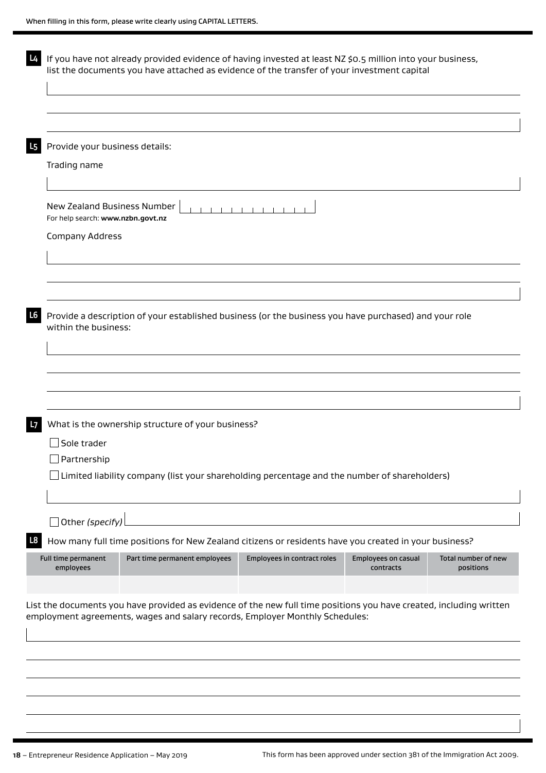| Provide your business details:                                   |                                                                                                       |                             |                                  |                                  |
|------------------------------------------------------------------|-------------------------------------------------------------------------------------------------------|-----------------------------|----------------------------------|----------------------------------|
| Trading name                                                     |                                                                                                       |                             |                                  |                                  |
|                                                                  |                                                                                                       |                             |                                  |                                  |
| New Zealand Business Number<br>For help search: www.nzbn.govt.nz |                                                                                                       |                             |                                  |                                  |
| Company Address                                                  |                                                                                                       |                             |                                  |                                  |
|                                                                  |                                                                                                       |                             |                                  |                                  |
|                                                                  |                                                                                                       |                             |                                  |                                  |
|                                                                  |                                                                                                       |                             |                                  |                                  |
|                                                                  |                                                                                                       |                             |                                  |                                  |
|                                                                  |                                                                                                       |                             |                                  |                                  |
|                                                                  | What is the ownership structure of your business?                                                     |                             |                                  |                                  |
|                                                                  |                                                                                                       |                             |                                  |                                  |
| Sole trader                                                      |                                                                                                       |                             |                                  |                                  |
| J Partnership                                                    |                                                                                                       |                             |                                  |                                  |
|                                                                  | Limited liability company (list your shareholding percentage and the number of shareholders)          |                             |                                  |                                  |
|                                                                  |                                                                                                       |                             |                                  |                                  |
| Other (specify)                                                  | How many full time positions for New Zealand citizens or residents have you created in your business? |                             |                                  |                                  |
| Full time permanent<br>employees                                 | Part time permanent employees                                                                         | Employees in contract roles | Employees on casual<br>contracts | Total number of new<br>positions |
|                                                                  |                                                                                                       |                             |                                  |                                  |
|                                                                  |                                                                                                       |                             |                                  |                                  |

ı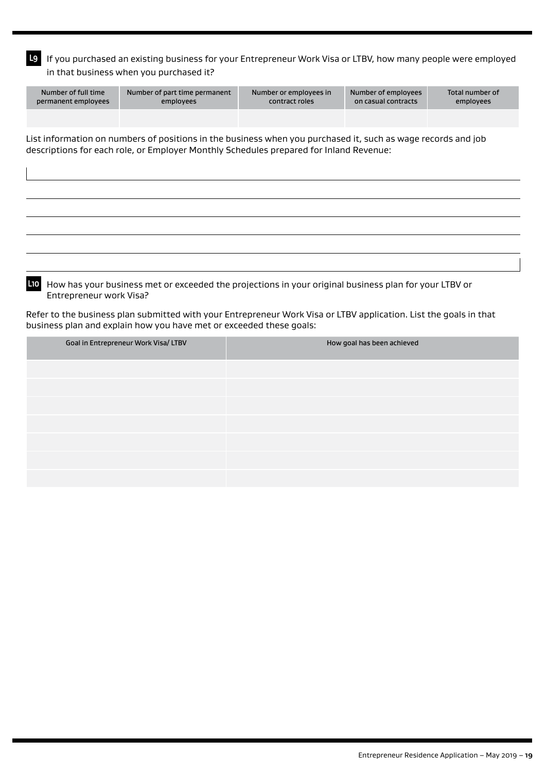**L9** If you purchased an existing business for your Entrepreneur Work Visa or LTBV, how many people were employed in that business when you purchased it?

| Number of full time<br>permanent employees                                                                   | Number of part time permanent<br>employees | Number or employees in<br>contract roles | Number of employees<br>on casual contracts | Total number of<br>employees |  |  |  |  |  |
|--------------------------------------------------------------------------------------------------------------|--------------------------------------------|------------------------------------------|--------------------------------------------|------------------------------|--|--|--|--|--|
|                                                                                                              |                                            |                                          |                                            |                              |  |  |  |  |  |
| List information on numbers of positions in the business when you purchased it, such as wage records and job |                                            |                                          |                                            |                              |  |  |  |  |  |

descriptions for each role, or Employer Monthly Schedules prepared for Inland Revenue:

**L10** How has your business met or exceeded the projections in your original business plan for your LTBV or Entrepreneur work Visa?

Refer to the business plan submitted with your Entrepreneur Work Visa or LTBV application. List the goals in that business plan and explain how you have met or exceeded these goals:

| Goal in Entrepreneur Work Visa/ LTBV | How goal has been achieved |
|--------------------------------------|----------------------------|
|                                      |                            |
|                                      |                            |
|                                      |                            |
|                                      |                            |
|                                      |                            |
|                                      |                            |
|                                      |                            |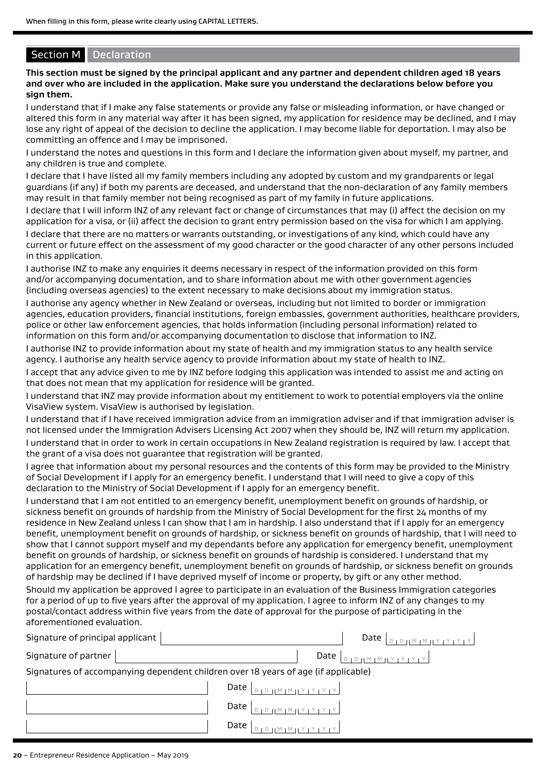# **Section M** Declaration

**This section must be signed by the principal applicant and any partner and dependent children aged 18 years and over who are included in the application. Make sure you understand the declarations below before you sign them.**

I understand that if I make any false statements or provide any false or misleading information, or have changed or altered this form in any material way after it has been signed, my application for residence may be declined, and I may lose any right of appeal of the decision to decline the application. I may become liable for deportation. I may also be committing an offence and I may be imprisoned.

I understand the notes and questions in this form and I declare the information given about myself, my partner, and any children is true and complete.

I declare that I have listed all my family members including any adopted by custom and my grandparents or legal guardians (if any) if both my parents are deceased, and understand that the non-declaration of any family members may result in that family member not being recognised as part of my family in future applications.

I declare that I will inform INZ of any relevant fact or change of circumstances that may (i) affect the decision on my application for a visa, or (ii) affect the decision to grant entry permission based on the visa for which I am applying.

I declare that there are no matters or warrants outstanding, or investigations of any kind, which could have any current or future effect on the assessment of my good character or the good character of any other persons included in this application.

I authorise INZ to make any enquiries it deems necessary in respect of the information provided on this form and/or accompanying documentation, and to share information about me with other government agencies (including overseas agencies) to the extent necessary to make decisions about my immigration status.

I authorise any agency whether in New Zealand or overseas, including but not limited to border or immigration agencies, education providers, financial institutions, foreign embassies, government authorities, healthcare providers, police or other law enforcement agencies, that holds information (including personal information) related to information on this form and/or accompanying documentation to disclose that information to INZ.

I authorise INZ to provide information about my state of health and my immigration status to any health service agency. I authorise any health service agency to provide information about my state of health to INZ.

I accept that any advice given to me by INZ before lodging this application was intended to assist me and acting on that does not mean that my application for residence will be granted.

I understand that INZ may provide information about my entitlement to work to potential employers via the online VisaView system. VisaView is authorised by legislation.

I understand that if I have received immigration advice from an immigration adviser and if that immigration adviser is not licensed under the Immigration Advisers Licensing Act 2007 when they should be, INZ will return my application. I understand that in order to work in certain occupations in New Zealand registration is required by law. I accept that the grant of a visa does not guarantee that registration will be granted.

I agree that information about my personal resources and the contents of this form may be provided to the Ministry of Social Development if I apply for an emergency benefit. I understand that I will need to give a copy of this declaration to the Ministry of Social Development if I apply for an emergency benefit.

I understand that I am not entitled to an emergency benefit, unemployment benefit on grounds of hardship, or sickness benefit on grounds of hardship from the Ministry of Social Development for the first 24 months of my residence in New Zealand unless I can show that I am in hardship. I also understand that if I apply for an emergency benefit, unemployment benefit on grounds of hardship, or sickness benefit on grounds of hardship, that I will need to show that I cannot support myself and my dependants before any application for emergency benefit, unemployment benefit on grounds of hardship, or sickness benefit on grounds of hardship is considered. I understand that my application for an emergency benefit, unemployment benefit on grounds of hardship, or sickness benefit on grounds of hardship may be declined if I have deprived myself of income or property, by gift or any other method. Should my application be approved I agree to participate in an evaluation of the Business Immigration categories for a period of up to five years after the approval of my application. I agree to inform INZ of any changes to my postal/contact address within five years from the date of approval for the purpose of participating in the aforementioned evaluation.

| Signature of principal applicant | Date $ $                                                                                         |
|----------------------------------|--------------------------------------------------------------------------------------------------|
| Signature of partner             | Date                                                                                             |
|                                  | Signatures of accompanying dependent children over 18 years of age (if applicable)               |
|                                  | Date $\vert_{\text{DIPHMIMIVI}Y1Y1Y}$                                                            |
|                                  | $Date \mid$                                                                                      |
|                                  | Date '<br>$\begin{bmatrix} M & M & M & N & N & N & N \\ N & M & M & N & N & N & N \end{bmatrix}$ |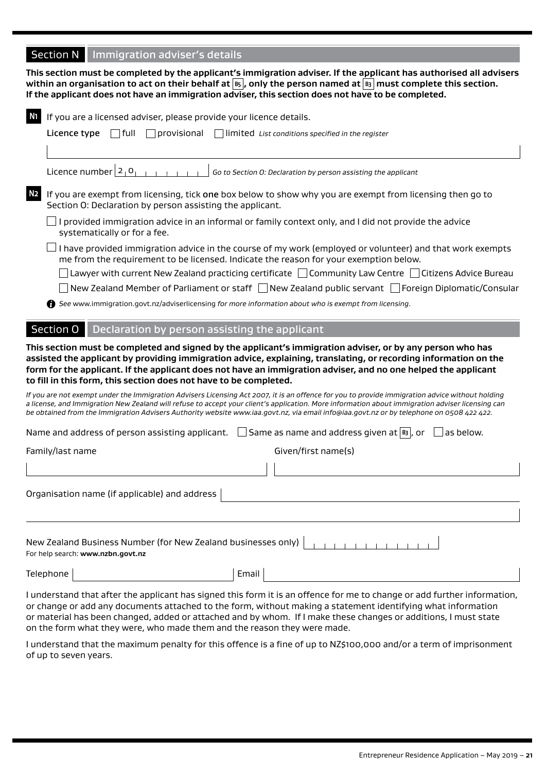# **Section N** Immigration adviser's details

**This section must be completed by the applicant's immigration adviser. If the applicant has authorised all advisers within an organisation to act on their behalf at B5 , only the person named at B3 must complete this section. If the applicant does not have an immigration adviser, this section does not have to be completed.**

| <b>N1</b><br>If you are a licensed adviser, please provide your licence details.                   |                                                                                                                                                                                                                                                                                                                                                                                                                                                 |
|----------------------------------------------------------------------------------------------------|-------------------------------------------------------------------------------------------------------------------------------------------------------------------------------------------------------------------------------------------------------------------------------------------------------------------------------------------------------------------------------------------------------------------------------------------------|
| Licence type<br>   full<br>    provisional                                                         | $\vert$   limited List conditions specified in the register                                                                                                                                                                                                                                                                                                                                                                                     |
|                                                                                                    |                                                                                                                                                                                                                                                                                                                                                                                                                                                 |
| Licence number $2_1$ <sup>O</sup> <sub>1</sub>                                                     | Go to Section O: Declaration by person assisting the applicant                                                                                                                                                                                                                                                                                                                                                                                  |
| N <sub>2</sub><br>Section O: Declaration by person assisting the applicant.                        | If you are exempt from licensing, tick one box below to show why you are exempt from licensing then go to                                                                                                                                                                                                                                                                                                                                       |
| systematically or for a fee.                                                                       | $\Box$ I provided immigration advice in an informal or family context only, and I did not provide the advice                                                                                                                                                                                                                                                                                                                                    |
|                                                                                                    | I have provided immigration advice in the course of my work (employed or volunteer) and that work exempts<br>me from the requirement to be licensed. Indicate the reason for your exemption below.                                                                                                                                                                                                                                              |
|                                                                                                    | $ $ Lawyer with current New Zealand practicing certificate $~\Box$ Community Law Centre $~\Box$ Citizens Advice Bureau                                                                                                                                                                                                                                                                                                                          |
|                                                                                                    | New Zealand Member of Parliament or staff □ New Zealand public servant □ Foreign Diplomatic/Consular                                                                                                                                                                                                                                                                                                                                            |
|                                                                                                    | See www.immigration.govt.nz/adviserlicensing for more information about who is exempt from licensing.                                                                                                                                                                                                                                                                                                                                           |
| Section O                                                                                          | Declaration by person assisting the applicant                                                                                                                                                                                                                                                                                                                                                                                                   |
| to fill in this form, this section does not have to be completed.                                  | This section must be completed and signed by the applicant's immigration adviser, or by any person who has<br>assisted the applicant by providing immigration advice, explaining, translating, or recording information on the<br>form for the applicant. If the applicant does not have an immigration adviser, and no one helped the applicant                                                                                                |
|                                                                                                    | If you are not exempt under the Immigration Advisers Licensing Act 2007, it is an offence for you to provide immigration advice without holding<br>a license, and Immigration New Zealand will refuse to accept your client's application. More information about immigration adviser licensing can<br>be obtained from the Immigration Advisers Authority website www.iaa.govt.nz, via email info@iaa.govt.nz or by telephone on 0508 422 422. |
|                                                                                                    | Name and address of person assisting applicant. $\Box$ Same as name and address given at $\mathfrak{g}_3$ , or<br>las below.                                                                                                                                                                                                                                                                                                                    |
| Family/last name                                                                                   | Given/first name(s)                                                                                                                                                                                                                                                                                                                                                                                                                             |
|                                                                                                    |                                                                                                                                                                                                                                                                                                                                                                                                                                                 |
| Organisation name (if applicable) and address                                                      |                                                                                                                                                                                                                                                                                                                                                                                                                                                 |
|                                                                                                    |                                                                                                                                                                                                                                                                                                                                                                                                                                                 |
| New Zealand Business Number (for New Zealand businesses only)<br>For help search: www.nzbn.govt.nz |                                                                                                                                                                                                                                                                                                                                                                                                                                                 |
| Telephone                                                                                          | Email                                                                                                                                                                                                                                                                                                                                                                                                                                           |

I understand that after the applicant has signed this form it is an offence for me to change or add further information, or change or add any documents attached to the form, without making a statement identifying what information or material has been changed, added or attached and by whom. If I make these changes or additions, I must state on the form what they were, who made them and the reason they were made.

I understand that the maximum penalty for this offence is a fine of up to NZ\$100,000 and/or a term of imprisonment of up to seven years.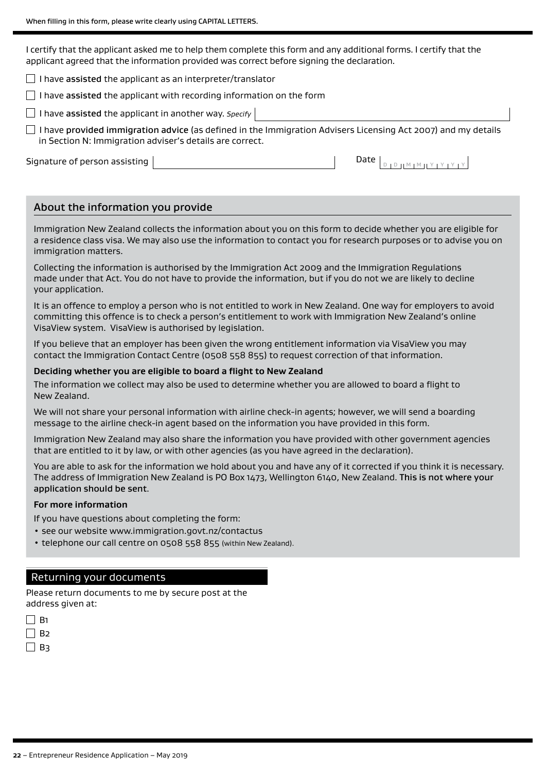I certify that the applicant asked me to help them complete this form and any additional forms. I certify that the applicant agreed that the information provided was correct before signing the declaration.

 $\Box$  I have assisted the applicant as an interpreter/translator

 $\Box$  I have assisted the applicant with recording information on the form

I have assisted the applicant in another way. *Specify* 

 $\Box$  I have provided immigration advice (as defined in the Immigration Advisers Licensing Act 2007) and my details in Section N: Immigration adviser's details are correct.

Signature of person assisting  $\begin{array}{|c|c|c|c|c|}\hline \text{Signature of person assigns the following conditions:} \hline \end{array}$ 

# About the information you provide

Immigration New Zealand collects the information about you on this form to decide whether you are eligible for a residence class visa. We may also use the information to contact you for research purposes or to advise you on immigration matters.

Collecting the information is authorised by the Immigration Act 2009 and the Immigration Regulations made under that Act. You do not have to provide the information, but if you do not we are likely to decline your application.

It is an offence to employ a person who is not entitled to work in New Zealand. One way for employers to avoid committing this offence is to check a person's entitlement to work with Immigration New Zealand's online VisaView system. VisaView is authorised by legislation.

If you believe that an employer has been given the wrong entitlement information via VisaView you may contact the Immigration Contact Centre (0508 558 855) to request correction of that information.

### **Deciding whether you are eligible to board a flight to New Zealand**

The information we collect may also be used to determine whether you are allowed to board a flight to New Zealand.

We will not share your personal information with airline check-in agents; however, we will send a boarding message to the airline check-in agent based on the information you have provided in this form.

Immigration New Zealand may also share the information you have provided with other government agencies that are entitled to it by law, or with other agencies (as you have agreed in the declaration).

You are able to ask for the information we hold about you and have any of it corrected if you think it is necessary. The address of Immigration New Zealand is PO Box 1473, Wellington 6140, New Zealand. This is not where your application should be sent.

### **For more information**

If you have questions about completing the form:

- see our website www.immigration.govt.nz/contactus
- telephone our call centre on 0508 558 855 (within New Zealand).

# Returning your documents

Please return documents to me by secure post at the address given at:

| $\mathbf{I}$ | В1 |
|--------------|----|
|              | B2 |
| $\mathsf{I}$ | B٦ |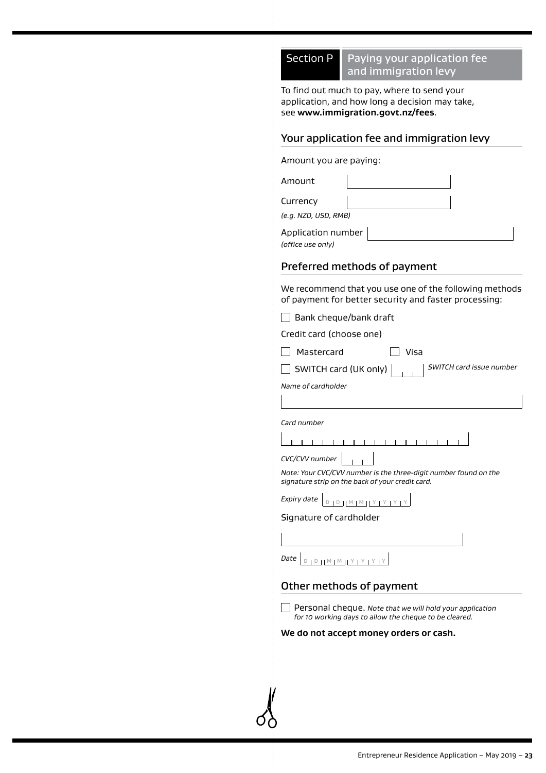# Section  $P$  Paying your application fee and immigration levy

To find out much to pay, where to send your application, and how long a decision may take, see **www.immigration.govt.nz/fees**.

# Your application fee and immigration levy

Amount you are paying:

Amount

Currency

*(e.g. NZD, USD, RMB)*

Application number

*(office use only)*

# Preferred methods of payment

We recommend that you use one of the following methods of payment for better security and faster processing:

 $\Box$  Bank cheque/bank draft

Credit card (choose one)

Mastercard Visa

SWITCH card (UK only) *SWITCH card issue number*

*Name of cardholder*

*Card number*

 $\overline{1}$ 

*CVC/CVV number*

*Note: Your CVC/CVV number is the three-digit number found on the signature strip on the back of your credit card.*

| $\angle$ xpiry date $ _{D+D+ \mathbb{M}  +  \mathbb{M}  + \mathbb{M} + \mathbb{N}}$ |  |  |  |  |  |  |  |  |  |
|-------------------------------------------------------------------------------------|--|--|--|--|--|--|--|--|--|
|-------------------------------------------------------------------------------------|--|--|--|--|--|--|--|--|--|

### Signature of cardholder

 $\textit{Date}$  D D M M H Y I Y I Y I Y

# Other methods of payment

Personal cheque. *Note that we will hold your application for 10 working days to allow the cheque to be cleared.*

### **We do not accept money orders or cash.**